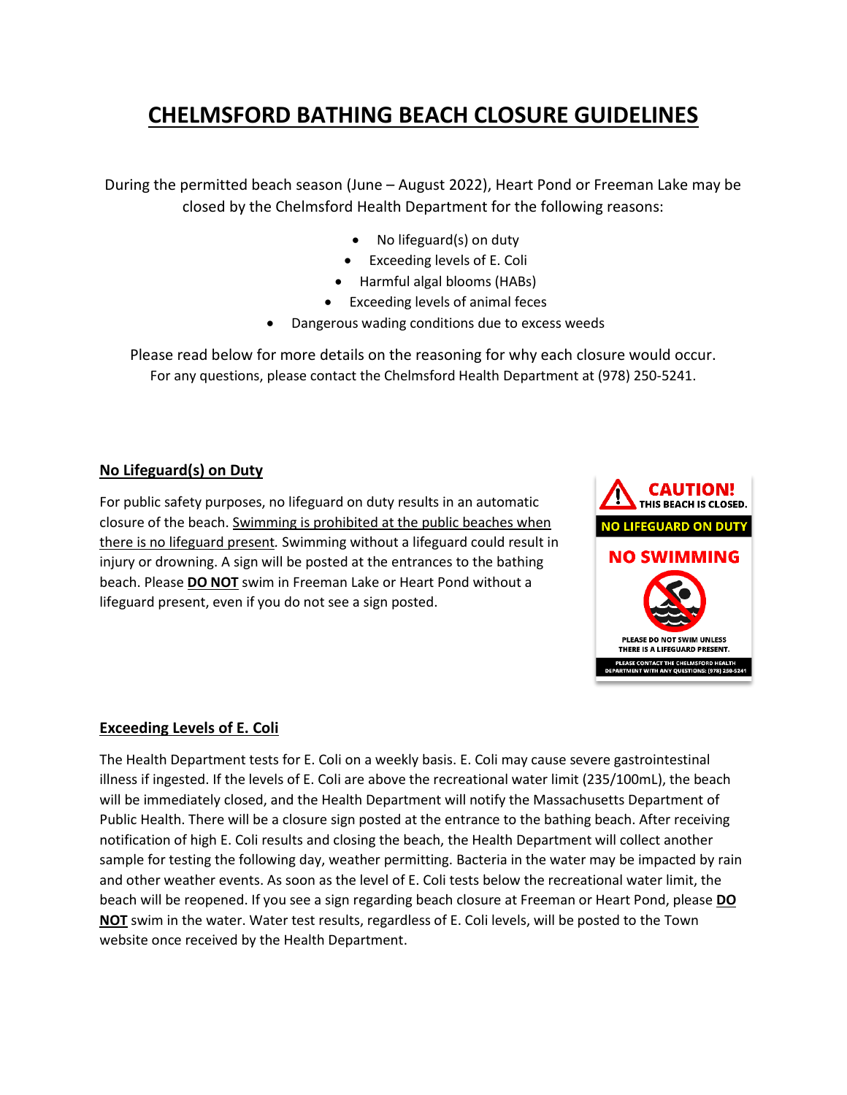# **CHELMSFORD BATHING BEACH CLOSURE GUIDELINES**

During the permitted beach season (June – August 2022), Heart Pond or Freeman Lake may be closed by the Chelmsford Health Department for the following reasons:

- No lifeguard(s) on duty
- Exceeding levels of E. Coli
- Harmful algal blooms (HABs)
- Exceeding levels of animal feces
- Dangerous wading conditions due to excess weeds

Please read below for more details on the reasoning for why each closure would occur. For any questions, please contact the Chelmsford Health Department at (978) 250-5241.

#### **No Lifeguard(s) on Duty**

For public safety purposes, no lifeguard on duty results in an automatic closure of the beach. Swimming is prohibited at the public beaches when there is no lifeguard present*.* Swimming without a lifeguard could result in injury or drowning. A sign will be posted at the entrances to the bathing beach. Please **DO NOT** swim in Freeman Lake or Heart Pond without a lifeguard present, even if you do not see a sign posted.



#### **Exceeding Levels of E. Coli**

The Health Department tests for E. Coli on a weekly basis. E. Coli may cause severe gastrointestinal illness if ingested. If the levels of E. Coli are above the recreational water limit (235/100mL), the beach will be immediately closed, and the Health Department will notify the Massachusetts Department of Public Health. There will be a closure sign posted at the entrance to the bathing beach. After receiving notification of high E. Coli results and closing the beach, the Health Department will collect another sample for testing the following day, weather permitting. Bacteria in the water may be impacted by rain and other weather events. As soon as the level of E. Coli tests below the recreational water limit, the beach will be reopened. If you see a sign regarding beach closure at Freeman or Heart Pond, please **DO NOT** swim in the water. Water test results, regardless of E. Coli levels, will be posted to the Town website once received by the Health Department.